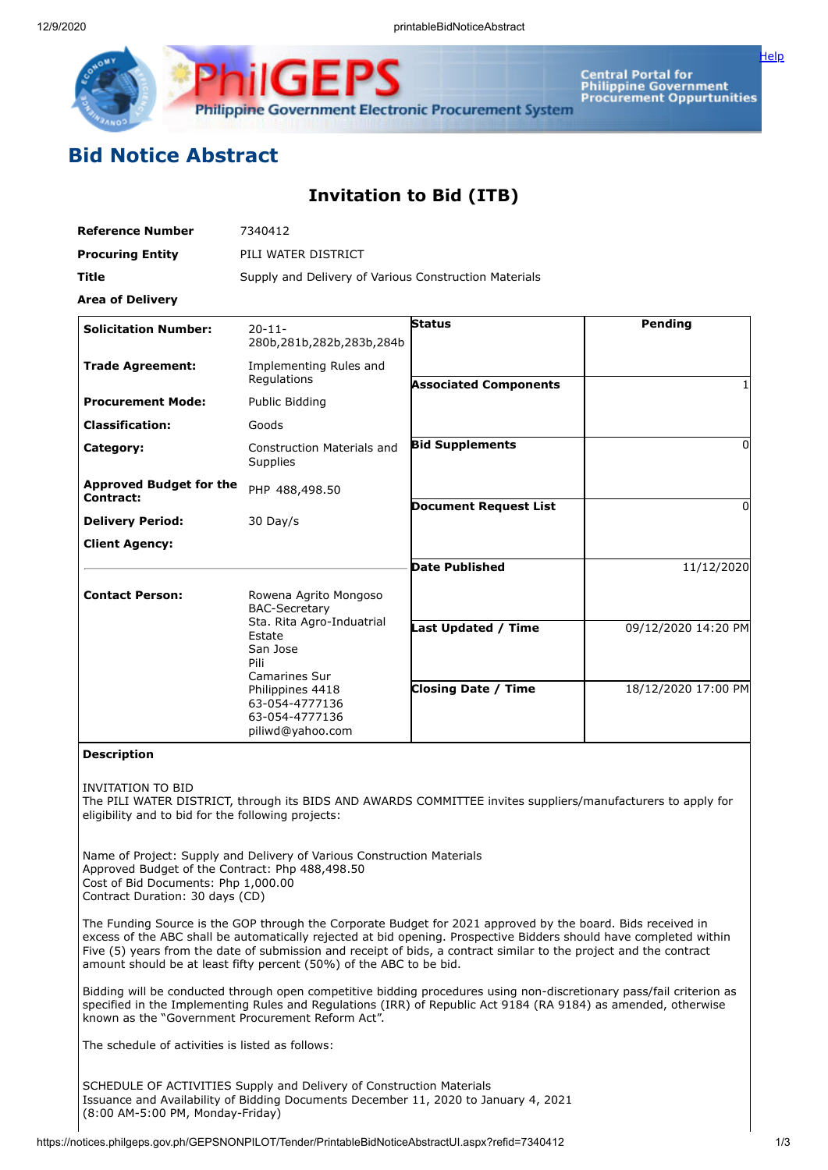

**Central Portal for** Central Portal for<br>Philippine Government<br>Procurement Oppurtunities

[Help](javascript:void(window.open()

## **Bid Notice Abstract**

## **Invitation to Bid (ITB)**

| <b>Reference Number</b>                     | 7340412                                                                  |                              |                     |
|---------------------------------------------|--------------------------------------------------------------------------|------------------------------|---------------------|
| <b>Procuring Entity</b>                     | PILI WATER DISTRICT                                                      |                              |                     |
| <b>Title</b>                                | Supply and Delivery of Various Construction Materials                    |                              |                     |
| <b>Area of Delivery</b>                     |                                                                          |                              |                     |
| <b>Solicitation Number:</b>                 | $20 - 11 -$<br>280b, 281b, 282b, 283b, 284b                              | <b>Status</b>                | Pending             |
| <b>Trade Agreement:</b>                     | Implementing Rules and                                                   |                              |                     |
|                                             | Regulations                                                              | <b>Associated Components</b> |                     |
| <b>Procurement Mode:</b>                    | Public Bidding                                                           |                              |                     |
| <b>Classification:</b>                      | Goods                                                                    |                              |                     |
| Category:                                   | <b>Construction Materials and</b><br>Supplies                            | <b>Bid Supplements</b>       | 0                   |
| <b>Approved Budget for the</b><br>Contract: | PHP 488,498.50                                                           |                              |                     |
| <b>Delivery Period:</b>                     | 30 Day/s                                                                 | <b>Document Request List</b> | $\Omega$            |
| <b>Client Agency:</b>                       |                                                                          |                              |                     |
|                                             |                                                                          | <b>Date Published</b>        | 11/12/2020          |
| <b>Contact Person:</b>                      | Rowena Agrito Mongoso<br><b>BAC-Secretary</b>                            |                              |                     |
|                                             | Sta. Rita Agro-Induatrial<br>Estate<br>San Jose<br>Pili<br>Camarines Sur | <b>Last Updated / Time</b>   | 09/12/2020 14:20 PM |
|                                             | Philippines 4418<br>63-054-4777136<br>63-054-4777136<br>piliwd@yahoo.com | <b>Closing Date / Time</b>   | 18/12/2020 17:00 PM |

## **Description**

INVITATION TO BID

The PILI WATER DISTRICT, through its BIDS AND AWARDS COMMITTEE invites suppliers/manufacturers to apply for eligibility and to bid for the following projects:

Name of Project: Supply and Delivery of Various Construction Materials Approved Budget of the Contract: Php 488,498.50 Cost of Bid Documents: Php 1,000.00 Contract Duration: 30 days (CD)

The Funding Source is the GOP through the Corporate Budget for 2021 approved by the board. Bids received in excess of the ABC shall be automatically rejected at bid opening. Prospective Bidders should have completed within Five (5) years from the date of submission and receipt of bids, a contract similar to the project and the contract amount should be at least fifty percent (50%) of the ABC to be bid.

Bidding will be conducted through open competitive bidding procedures using non-discretionary pass/fail criterion as specified in the Implementing Rules and Regulations (IRR) of Republic Act 9184 (RA 9184) as amended, otherwise known as the "Government Procurement Reform Act".

The schedule of activities is listed as follows:

SCHEDULE OF ACTIVITIES Supply and Delivery of Construction Materials Issuance and Availability of Bidding Documents December 11, 2020 to January 4, 2021 (8:00 AM-5:00 PM, Monday-Friday)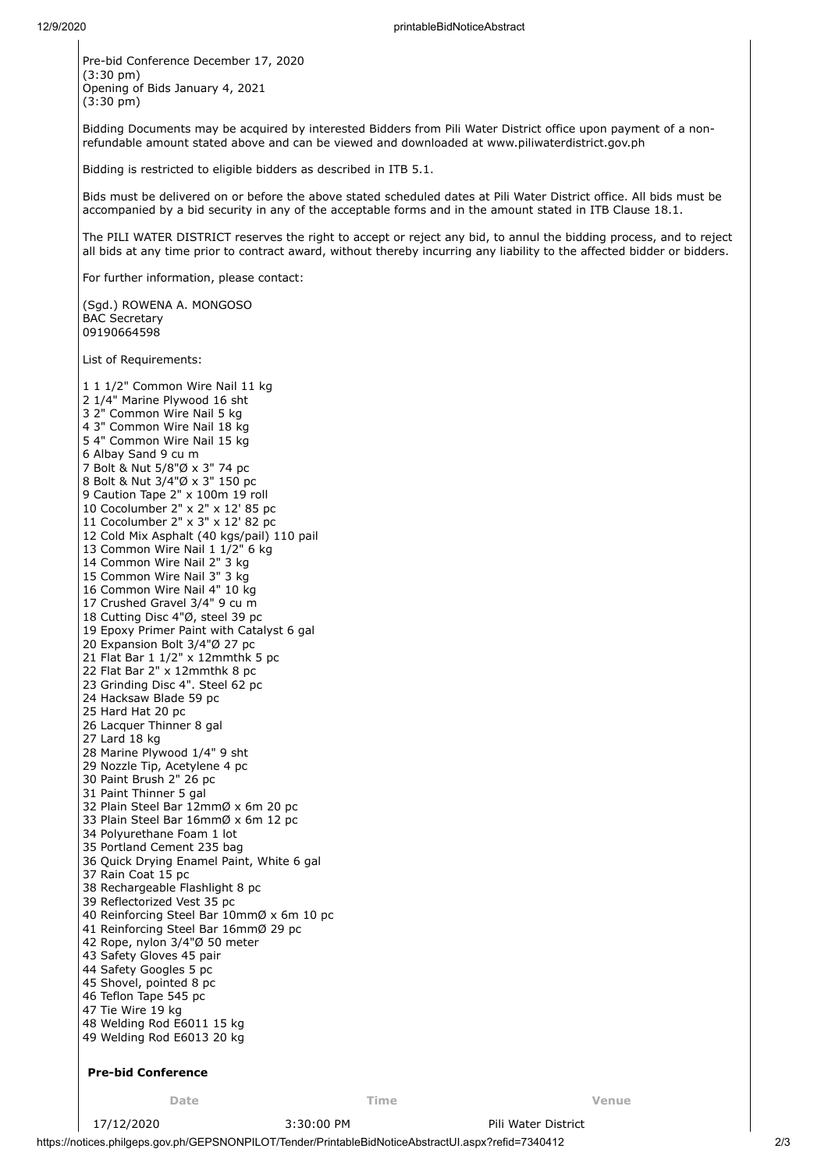Pre-bid Conference December 17, 2020 (3:30 pm) Opening of Bids January 4, 2021 (3:30 pm)

Bidding Documents may be acquired by interested Bidders from Pili Water District office upon payment of a nonrefundable amount stated above and can be viewed and downloaded at www.piliwaterdistrict.gov.ph

Bidding is restricted to eligible bidders as described in ITB 5.1.

Bids must be delivered on or before the above stated scheduled dates at Pili Water District office. All bids must be accompanied by a bid security in any of the acceptable forms and in the amount stated in ITB Clause 18.1.

The PILI WATER DISTRICT reserves the right to accept or reject any bid, to annul the bidding process, and to reject all bids at any time prior to contract award, without thereby incurring any liability to the affected bidder or bidders.

For further information, please contact:

(Sgd.) ROWENA A. MONGOSO BAC Secretary 

List of Requirements:

 1 1/2" Common Wire Nail 11 kg 1/4" Marine Plywood 16 sht 2" Common Wire Nail 5 kg 3" Common Wire Nail 18 kg 4" Common Wire Nail 15 kg Albay Sand 9 cu m Bolt & Nut 5/8"Ø x 3" 74 pc Bolt & Nut 3/4"Ø x 3" 150 pc 9 Caution Tape 2" x 100m 19 roll Cocolumber 2" x 2" x 12' 85 pc Cocolumber 2" x 3" x 12' 82 pc Cold Mix Asphalt (40 kgs/pail) 110 pail Common Wire Nail 1 1/2" 6 kg Common Wire Nail 2" 3 kg Common Wire Nail 3" 3 kg 16 Common Wire Nail 4" 10 kg Crushed Gravel 3/4" 9 cu m Cutting Disc 4"Ø, steel 39 pc Epoxy Primer Paint with Catalyst 6 gal Expansion Bolt 3/4"Ø 27 pc Flat Bar 1 1/2" x 12mmthk 5 pc Flat Bar 2" x 12mmthk 8 pc Grinding Disc 4". Steel 62 pc Hacksaw Blade 59 pc Hard Hat 20 pc Lacquer Thinner 8 gal Lard 18 kg Marine Plywood 1/4" 9 sht Nozzle Tip, Acetylene 4 pc Paint Brush 2" 26 pc Paint Thinner 5 gal Plain Steel Bar 12mmØ x 6m 20 pc Plain Steel Bar 16mmØ x 6m 12 pc Polyurethane Foam 1 lot Portland Cement 235 bag Quick Drying Enamel Paint, White 6 gal Rain Coat 15 pc Rechargeable Flashlight 8 pc Reflectorized Vest 35 pc Reinforcing Steel Bar 10mmØ x 6m 10 pc Reinforcing Steel Bar 16mmØ 29 pc Rope, nylon 3/4"Ø 50 meter Safety Gloves 45 pair Safety Googles 5 pc Shovel, pointed 8 pc Teflon Tape 545 pc Tie Wire 19 kg Welding Rod E6011 15 kg Welding Rod E6013 20 kg

## **Pre-bid Conference**

**Date Time Venue**